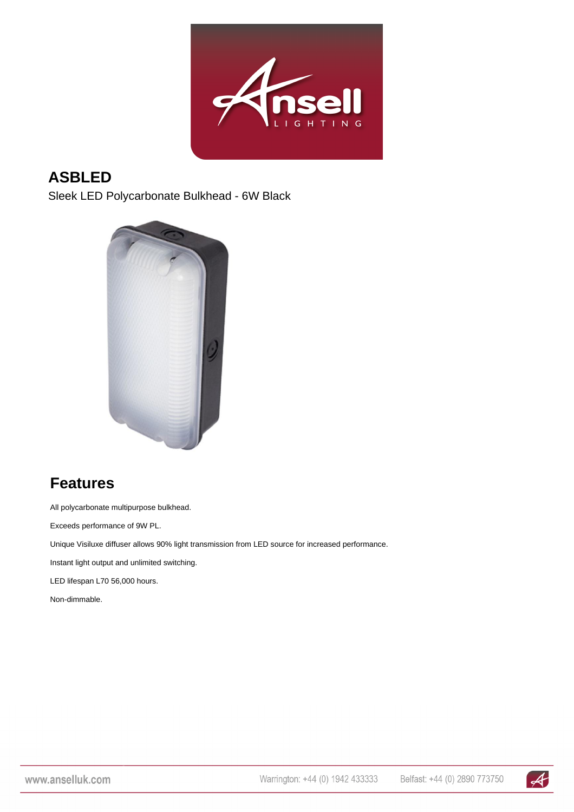

#### **ASBLED**

Sleek LED Polycarbonate Bulkhead - 6W Black



## **Features**

All polycarbonate multipurpose bulkhead.

Exceeds performance of 9W PL.

Unique Visiluxe diffuser allows 90% light transmission from LED source for increased performance.

Instant light output and unlimited switching.

LED lifespan L70 56,000 hours.

Non-dimmable.

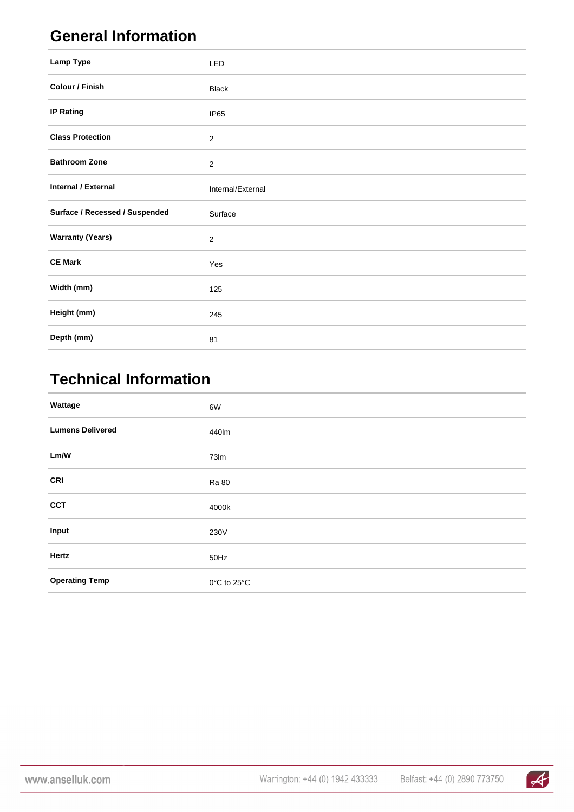## **General Information**

| Lamp Type                      | <b>LED</b>        |
|--------------------------------|-------------------|
| Colour / Finish                | <b>Black</b>      |
| <b>IP Rating</b>               | IP65              |
| <b>Class Protection</b>        | $\overline{2}$    |
| <b>Bathroom Zone</b>           | $\mathbf 2$       |
| Internal / External            | Internal/External |
|                                |                   |
| Surface / Recessed / Suspended | Surface           |
| <b>Warranty (Years)</b>        | $\overline{2}$    |
| <b>CE Mark</b>                 | Yes               |
| Width (mm)                     | 125               |
| Height (mm)                    | 245               |

# **Technical Information**

| Wattage                 | 6W           |
|-------------------------|--------------|
| <b>Lumens Delivered</b> | 440lm        |
| Lm/W                    | 73Im         |
| <b>CRI</b>              | <b>Ra 80</b> |
| <b>CCT</b>              | 4000k        |
| Input                   | 230V         |
| Hertz                   | 50Hz         |
| <b>Operating Temp</b>   | 0°C to 25°C  |

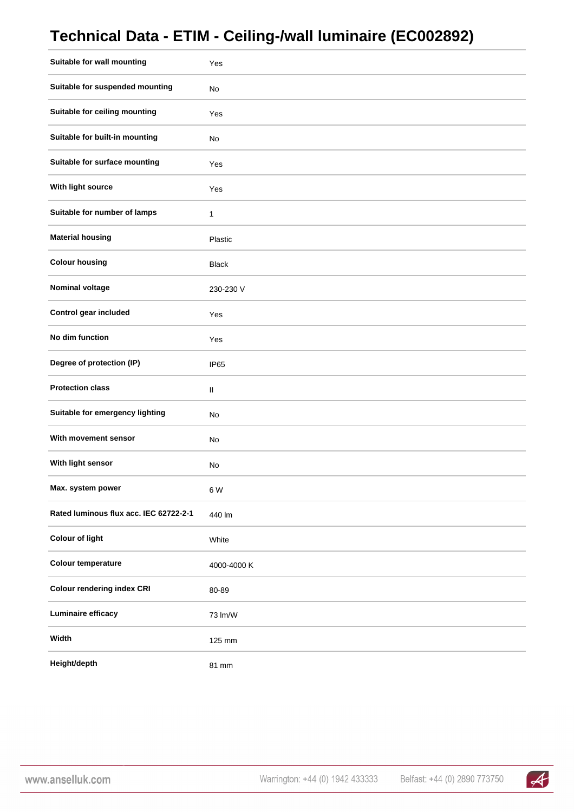#### **Technical Data - ETIM - Ceiling-/wall luminaire (EC002892)**

| Suitable for wall mounting             | Yes              |
|----------------------------------------|------------------|
| Suitable for suspended mounting        | No               |
| Suitable for ceiling mounting          | Yes              |
| Suitable for built-in mounting         | No               |
| Suitable for surface mounting          | Yes              |
| With light source                      | Yes              |
| Suitable for number of lamps           | 1                |
| <b>Material housing</b>                | Plastic          |
| <b>Colour housing</b>                  | <b>Black</b>     |
| <b>Nominal voltage</b>                 | 230-230 V        |
| Control gear included                  | Yes              |
| No dim function                        | Yes              |
| Degree of protection (IP)              | IP <sub>65</sub> |
| <b>Protection class</b>                | $\rm H$          |
| Suitable for emergency lighting        | No               |
| With movement sensor                   | No               |
| With light sensor                      | No               |
| Max. system power                      | 6 W              |
| Rated luminous flux acc. IEC 62722-2-1 | 440 lm           |
| <b>Colour of light</b>                 | White            |
| <b>Colour temperature</b>              | 4000-4000 K      |
| <b>Colour rendering index CRI</b>      | 80-89            |
| Luminaire efficacy                     | 73 lm/W          |
| Width                                  | 125 mm           |
| Height/depth                           | 81 mm            |